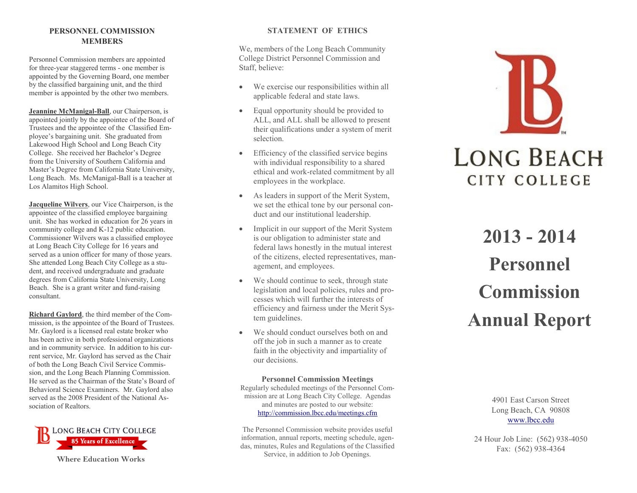# **PERSONNEL COMMISSION MEMBERS**

Personnel Commission members are appointed for three -year staggered terms - one member is appointed by the Governing Board, one member by the classified bargaining unit, and the third member is appointed by the other two members.

**Jeannine McManigal-Ball**, our Chairperson, is appointed jointly by the appointee of the Board of Trustees and the appointee of the Classified Employee's bargaining unit. She graduated from Lakewood High School and Long Beach City College. She received her Bachelor's Degree from the University of Southern California and Master's Degree from California State University, Long Beach. Ms. McManigal -Ball is a teacher at Los Alamitos High School.

**Jacqueline Wilvers**, our Vice Chairperson, is the appointee of the classified employee bargaining unit. She has worked in education for 26 years in community college and K -12 public education. Commissioner Wilvers was a classified employee at Long Beach City College for 16 years and served as a union officer for many of those years. She attended Long Beach City College as a student, and received undergraduate and graduate degrees from California State University, Long Beach. She is a grant writer and fund -raising consultant.

**Richard Gaylord**, the third member of the Commission, is the appointee of the Board of Trustees. Mr. Gaylord is a licensed real estate broker who has been active in both professional organizations and in community service. In addition to his current service, Mr. Gaylord has served as the Chair of both the Long Beach Civil Service Commission, and the Long Beach Planning Commission. He served as the Chairman of the State's Board of Behavioral Science Examiners. Mr. Gaylord also served as the 2008 President of the National Association of Realtors.



**Where Education Works**

# **STATEMENT OF ETHICS**

We, members of the Long Beach Community College District Personnel Commission and Staff, believe:

- We exercise our responsibilities within all applicable federal and state laws.
- Equal opportunity should be provided to ALL, and ALL shall be allowed to present their qualifications under a system of merit selection.
- Efficiency of the classified service begins with individual responsibility to a shared ethical and work -related commitment by all employees in the workplace.
- As leaders in support of the Merit System, we set the ethical tone by our personal conduct and our institutional leadership.
- Implicit in our support of the Merit System is our obligation to administer state and federal laws honestly in the mutual interest of the citizens, elected representatives, management, and employees.
- We should continue to seek, through state legislation and local policies, rules and processes which will further the interests of efficiency and fairness under the Merit System guidelines.
- We should conduct ourselves both on and off the job in such a manner as to create faith in the objectivity and impartiality of our decisions.

### **Personnel Commission Meetings** Regularly scheduled meetings of the Personnel Commission are at Long Beach City College. Agendas and minutes are posted to our website: http://commission.lbcc.edu/meetings.cfm

The Personnel Commission website provides useful information, annual reports, meeting schedule, agendas, minutes, Rules and Regulations of the Classified Service, in addition to Job Openings.



**2013 - 2014 Personnel Commission Annual Report**

> 4901 East Carson Street Long Beach, CA 90808 www.lbcc.edu

24 Hour Job Line: (562) 938 -4050 Fax: (562) 938 -4364